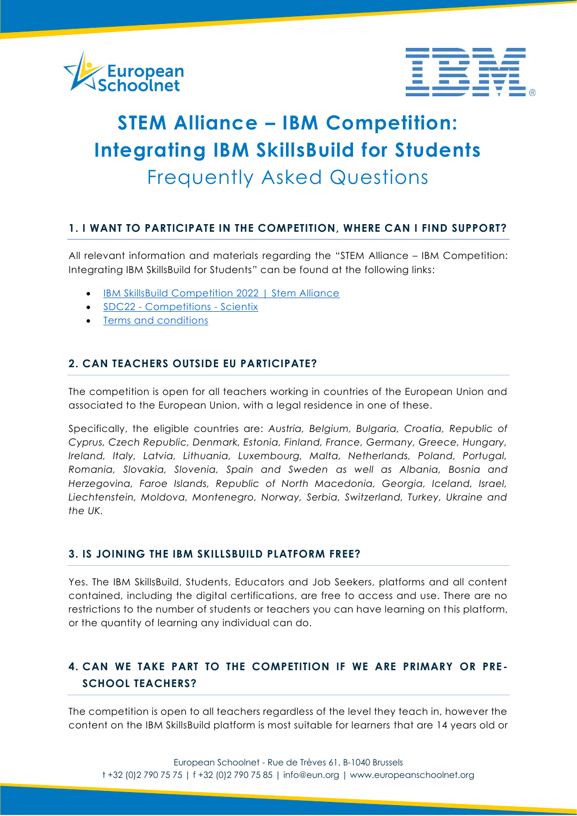



# **STEM Alliance – IBM Competition: Integrating IBM SkillsBuild for Students** Frequently Asked Questions

### **1. I WANT TO PARTICIPATE IN THE COMPETITION, WHERE CAN I FIND SUPPORT?**

All relevant information and materials regarding the "STEM Alliance – IBM Competition: Integrating IBM SkillsBuild for Students" can be found at the following links:

- [IBM SkillsBuild Competition 2022 | Stem Alliance](http://www.stemalliance.eu/ibm-skillsbuild-competition)
- SDC22 [Competitions -](http://www.scientix.eu/events/campaigns/sdc22/competitions) Scientix
- [Terms and conditions](http://www.stemalliance.eu/documents/99712/7813644/STEM-Alliance-IBM-Competition-Guidelines-2022-02-04.pdf/7d211c87-a390-444b-ac57-468347a3ad55)

#### **2. CAN TEACHERS OUTSIDE EU PARTICIPATE?**

The competition is open for all teachers working in countries of the European Union and associated to the European Union, with a legal residence in one of these.

Specifically, the eligible countries are: *Austria, Belgium, Bulgaria, Croatia, Republic of Cyprus, Czech Republic, Denmark, Estonia, Finland, France, Germany, Greece, Hungary, Ireland, Italy, Latvia, Lithuania, Luxembourg, Malta, Netherlands, Poland, Portugal, Romania, Slovakia, Slovenia, Spain and Sweden as well as Albania, Bosnia and Herzegovina, Faroe Islands, Republic of North Macedonia, Georgia, Iceland, Israel, Liechtenstein, Moldova, Montenegro, Norway, Serbia, Switzerland, Turkey, Ukraine and the UK.*

#### **3. IS JOINING THE IBM SKILLSBUILD PLATFORM FREE?**

Yes. The IBM SkillsBuild, Students, Educators and Job Seekers, platforms and all content contained, including the digital certifications, are free to access and use. There are no restrictions to the number of students or teachers you can have learning on this platform, or the quantity of learning any individual can do.

# **4. CAN WE TAKE PART TO THE COMPETITION IF WE ARE PRIMARY OR PRE - SCHOOL TEACHERS?**

The competition is open to all teachers regardless of the level they teach in, however the content on the IBM SkillsBuild platform is most suitable for learners that are 14 years old or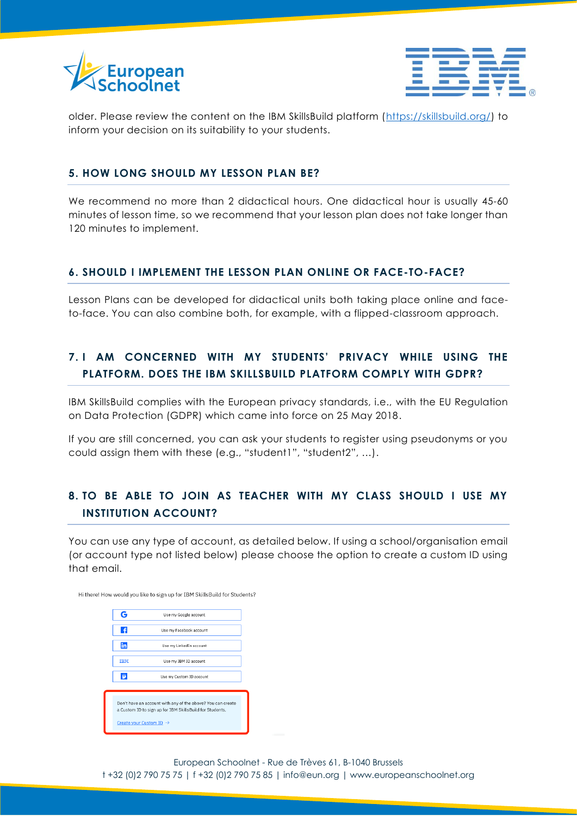



older. Please review the content on the IBM SkillsBuild platform [\(https://skillsbuild.org/\)](https://skillsbuild.org/) to inform your decision on its suitability to your students.

#### **5. HOW LONG SHOULD MY LESSON PLAN BE?**

We recommend no more than 2 didactical hours. One didactical hour is usually 45-60 minutes of lesson time, so we recommend that your lesson plan does not take longer than 120 minutes to implement.

#### **6. SHOULD I IMPLEMENT THE LESSON PLAN ONLINE OR FACE-TO-FACE?**

Lesson Plans can be developed for didactical units both taking place online and faceto-face. You can also combine both, for example, with a flipped-classroom approach.

# **7. I AM CONCERNED WITH MY STUDENTS' PRIVACY WHILE USING THE PLATFORM. DOES THE IBM SKILLSBUILD PLATFORM COMPLY WITH GDPR?**

IBM SkillsBuild complies with the European privacy standards, i.e., with the EU Regulation on Data Protection (GDPR) which came into force on 25 May 2018.

If you are still concerned, you can ask your students to register using pseudonyms or you could assign them with these (e.g., "student1", "student2", …).

## **8. TO BE ABLE TO JOIN AS TEACHER WITH MY CLASS SHOULD I USE MY INSTITUTION ACCOUNT?**

You can use any type of account, as detailed below. If using a school/organisation email (or account type not listed below) please choose the option to create a custom ID using that email.

Hi there! How would you like to sign up for IBM SkillsBuild for Students?



European Schoolnet - Rue de Trèves 61, B-1040 Brussels t +32 (0)2 790 75 75 | f +32 (0)2 790 75 85 | info@eun.org | [www.europeanschoolnet.org](http://www.europeanschoolnet.org/)